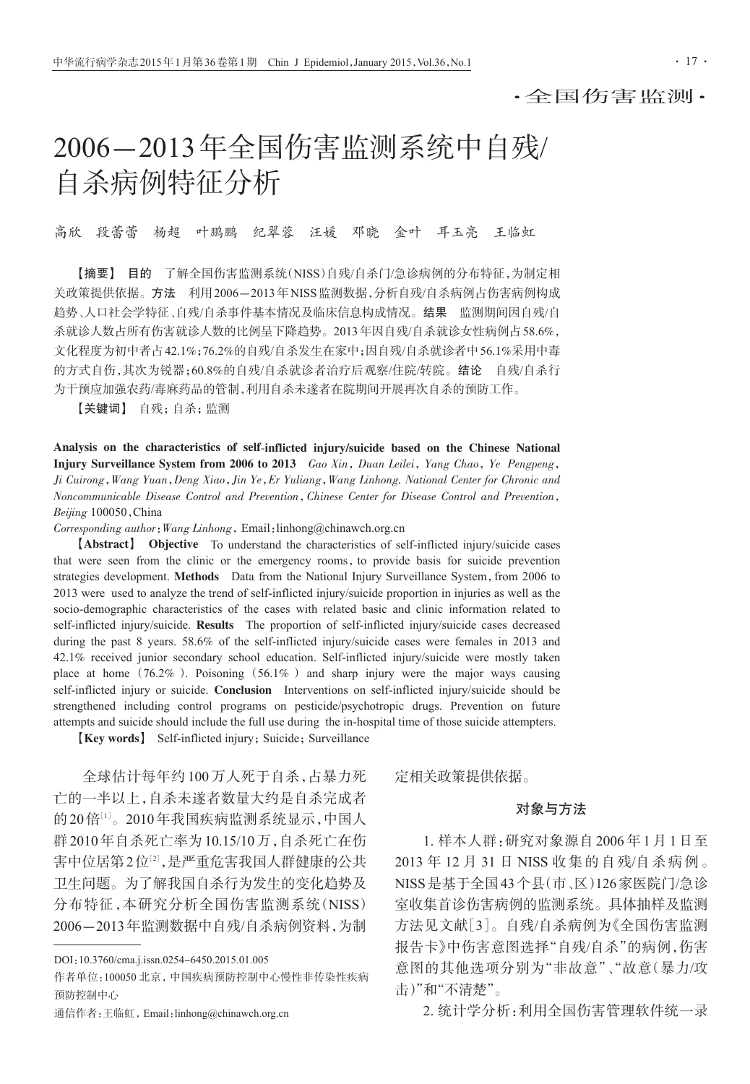·全国伤害监测·

# 2006-2013年全国伤害监测系统中自残/ 自杀病例特征分析

高欣 段蕾蕾 杨超 叶鹏鹏 纪翠蓉 汪媛 邓晓 金叶 耳玉亮 王临虹

【摘要】 目的 了解全国伤害监测系统(NISS)自残/自杀门/急诊病例的分布特征,为制定相 关政策提供依据。方法 利用2006-2013年NISS监测数据,分析自残/自杀病例占伤害病例构成 趋势、人口社会学特征、自残/自杀事件基本情况及临床信息构成情况。结果 监测期间因自残/自 杀就诊人数占所有伤害就诊人数的比例呈下降趋势。2013年因自残/自杀就诊女性病例占58.6%, 文化程度为初中者占42.1%;76.2%的自残/自杀发生在家中;因自残/自杀就诊者中56.1%采用中毒 的方式自伤,其次为锐器;60.8%的自残/自杀就诊者治疗后观察/住院/转院。结论 自残/自杀行 为干预应加强农药/毒麻药品的管制,利用自杀未遂者在院期间开展再次自杀的预防工作。

【关键词】 自残;自杀;监测

Analysis on the characteristics of self-inflicted injury/suicide based on the Chinese National Injury Surveillance System from 2006 to 2013 Gao Xin, Duan Leilei, Yang Chao, Ye Pengpeng, Ji Cuirong,Wang Yuan,Deng Xiao,Jin Ye,Er Yuliang,Wang Linhong. National Center for Chronic and Noncommunicable Disease Control and Prevention,Chinese Center for Disease Control and Prevention, Beijing 100050,China

Corresponding author:Wang Linhong,Email:linhong@chinawch.org.cn

【Abstract】 Objective To understand the characteristics of self-inflicted injury/suicide cases that were seen from the clinic or the emergency rooms, to provide basis for suicide prevention strategies development. Methods Data from the National Injury Surveillance System, from 2006 to 2013 were used to analyze the trend of self-inflicted injury/suicide proportion in injuries as well as the socio-demographic characteristics of the cases with related basic and clinic information related to self-inflicted injury/suicide. Results The proportion of self-inflicted injury/suicide cases decreased during the past 8 years. 58.6% of the self-inflicted injury/suicide cases were females in 2013 and 42.1% received junior secondary school education. Self-inflicted injury/suicide were mostly taken place at home  $(76.2\%)$ . Poisoning  $(56.1\%)$  and sharp injury were the major ways causing self-inflicted injury or suicide. Conclusion Interventions on self-inflicted injury/suicide should be strengthened including control programs on pesticide/psychotropic drugs. Prevention on future attempts and suicide should include the full use during the in-hospital time of those suicide attempters.

**[Key words]** Self-inflicted injury; Suicide; Surveillance

全球估计每年约 100 万人死于自杀,占暴力死 亡的一半以上,自杀未遂者数量大约是自杀完成者 的20倍[1]。2010年我国疾病监测系统显示,中国人 群2010年自杀死亡率为10.15/10万,自杀死亡在伤 害中位居第2位12,是严重危害我国人群健康的公共 卫生问题。为了解我国自杀行为发生的变化趋势及 分布特征,本研究分析全国伤害监测系统(NISS) 2006-2013年监测数据中自残/自杀病例资料,为制

定相关政策提供依据。

## 对象与方法

1. 样本人群:研究对象源自 2006 年 1 月 1 日至 2013 年 12 月 31 日 NISS 收集的自残/自杀病例。 NISS是基于全国43个县(市、区)126家医院门/急诊 室收集首诊伤害病例的监测系统。具体抽样及监测 方法见文献[3]。自残/自杀病例为《全国伤害监测 报告卡》中伤害意图选择"自残/自杀"的病例,伤害 意图的其他选项分别为"非故意"、"故意(暴力/攻 击)"和"不清楚"。

2. 统计学分析:利用全国伤害管理软件统一录

DOI:10.3760/cma.j.issn.0254-6450.2015.01.005

作者单位:100050 北京,中国疾病预防控制中心慢性非传染性疾病 预防控制中心

通信作者:王临虹,Email:linhong@chinawch.org.cn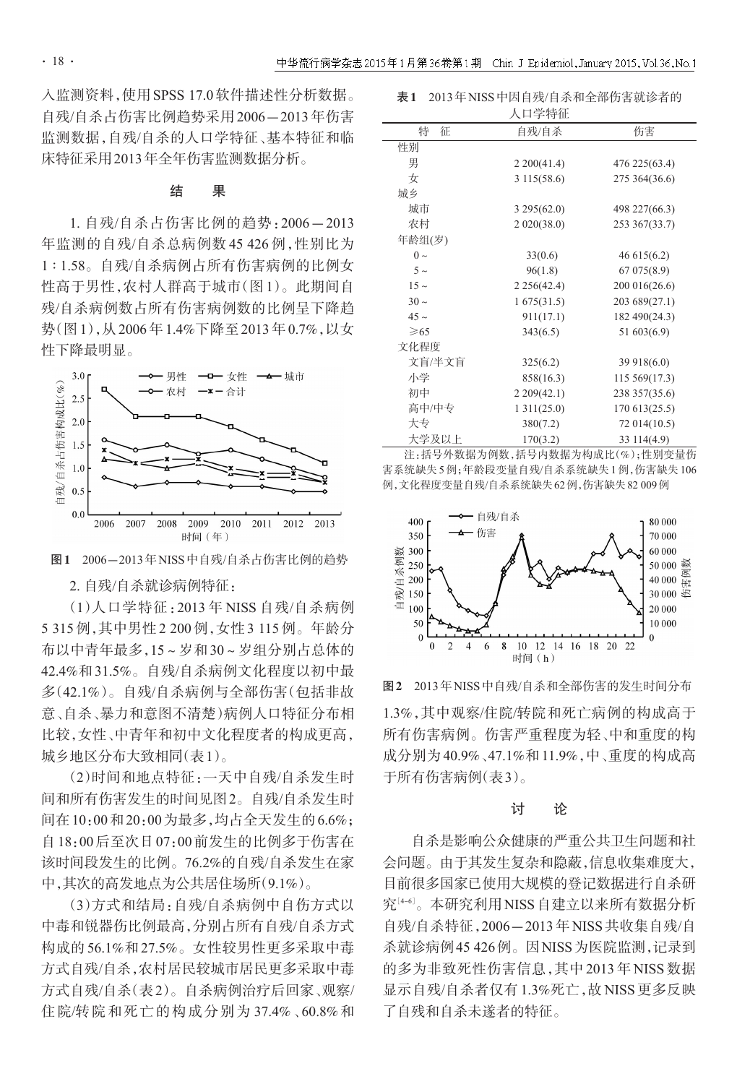入监测资料,使用SPSS 17.0软件描述性分析数据。 自残/自杀占伤害比例趋势采用2006-2013年伤害 监测数据,自残/自杀的人口学特征、基本特征和临 床特征采用2013年全年伤害监测数据分析。

### 结 果

1. 自残/自杀占伤害比例的趋势:2006-2013 年监测的自残/自杀总病例数 45 426 例,性别比为 1 ∶ 1.58。自残/自杀病例占所有伤害病例的比例女 性高于男性,农村人群高于城市(图 1)。此期间自 残/自杀病例数占所有伤害病例数的比例呈下降趋 势(图1),从2006年1.4%下降至2013年0.7%,以女 性下降最明显。





2. 自残/自杀就诊病例特征:

(1)人口学特征:2013 年 NISS 自残/自杀病例 5 315例,其中男性2 200例,女性3 115例。年龄分 布以中青年最多,15~岁和30~岁组分别占总体的 42.4%和31.5%。自残/自杀病例文化程度以初中最 多(42.1%)。自残/自杀病例与全部伤害(包括非故 意、自杀、暴力和意图不清楚)病例人口特征分布相 比较,女性、中青年和初中文化程度者的构成更高, 城乡地区分布大致相同(表1)。

(2)时间和地点特征:一天中自残/自杀发生时 间和所有伤害发生的时间见图2。自残/自杀发生时 间在10:00和20:00为最多,均占全天发生的6.6%; 自18:00后至次日07:00前发生的比例多于伤害在 该时间段发生的比例。76.2%的自残/自杀发生在家 中,其次的高发地点为公共居住场所(9.1%)。

(3)方式和结局:自残/自杀病例中自伤方式以 中毒和锐器伤比例最高,分别占所有自残/自杀方式 构成的56.1%和27.5%。女性较男性更多采取中毒 方式自残/自杀,农村居民较城市居民更多采取中毒 方式自残/自杀(表2)。自杀病例治疗后回家、观察/ 住院/转院和死亡的构成分别为 37.4%、60.8%和

|           | 人口学特征       |                |
|-----------|-------------|----------------|
| 特<br>征    | 自残/自杀       | 伤害             |
| 性别        |             |                |
| 男         | 2200(41.4)  | 476 225 (63.4) |
| 女         | 3 115(58.6) | 275 364 (36.6) |
| 城乡        |             |                |
| 城市        | 3295(62.0)  | 498 227(66.3)  |
| 农村        | 2020(38.0)  | 253 367(33.7)  |
| 年龄组(岁)    |             |                |
| $0 \sim$  | 33(0.6)     | 46 615 (6.2)   |
| $5 \sim$  | 96(1.8)     | 67 075 (8.9)   |
| $15 \sim$ | 2256(42.4)  | 200 016(26.6)  |
| $30 \sim$ | 1675(31.5)  | 203 689(27.1)  |
| $45 \sim$ | 911(17.1)   | 182 490(24.3)  |
| $\geq 65$ | 343(6.5)    | 51 603(6.9)    |
| 文化程度      |             |                |
| 文盲/半文盲    | 325(6.2)    | 39 918(6.0)    |
| 小学        | 858(16.3)   | 115 569(17.3)  |
| 初中        | 2209(42.1)  | 238 357(35.6)  |
| 高中/中专     | 1311(25.0)  | 170613(25.5)   |
| 大专        | 380(7.2)    | 72 014(10.5)   |
| 大学及以上     | 170(3.2)    | 33 114(4.9)    |

注:括号外数据为例数,括号内数据为构成比(%);性别变量伤 害系统缺失5例;年龄段变量自残/自杀系统缺失1例,伤害缺失106 例,文化程度变量自残/自杀系统缺失62例,伤害缺失82 009例



图2 2013年NISS中自残/自杀和全部伤害的发生时间分布

1.3%,其中观察/住院/转院和死亡病例的构成高于 所有伤害病例。伤害严重程度为轻、中和重度的构 成分别为40.9%、47.1%和11.9%,中、重度的构成高 于所有伤害病例(表3)。

### 讨 论

自杀是影响公众健康的严重公共卫生问题和社 会问题。由于其发生复杂和隐蔽,信息收集难度大, 目前很多国家已使用大规模的登记数据进行自杀研 究[46]。本研究利用NISS自建立以来所有数据分析 自残/自杀特征,2006-2013年NISS共收集自残/自 杀就诊病例45 426例。因NISS为医院监测,记录到 的多为非致死性伤害信息,其中 2013 年 NISS 数据 显示自残/自杀者仅有1.3%死亡,故NISS更多反映 了自残和自杀未遂者的特征。